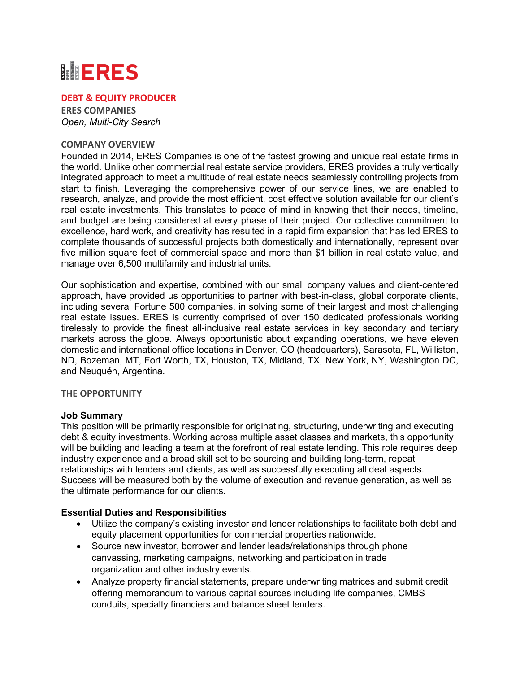# **MERES**

## **DEBT & EQUITY PRODUCER**

**ERES COMPANIES** *Open, Multi-City Search*

#### **COMPANY OVERVIEW**

Founded in 2014, ERES Companies is one of the fastest growing and unique real estate firms in the world. Unlike other commercial real estate service providers, ERES provides a truly vertically integrated approach to meet a multitude of real estate needs seamlessly controlling projects from start to finish. Leveraging the comprehensive power of our service lines, we are enabled to research, analyze, and provide the most efficient, cost effective solution available for our client's real estate investments. This translates to peace of mind in knowing that their needs, timeline, and budget are being considered at every phase of their project. Our collective commitment to excellence, hard work, and creativity has resulted in a rapid firm expansion that has led ERES to complete thousands of successful projects both domestically and internationally, represent over five million square feet of commercial space and more than \$1 billion in real estate value, and manage over 6,500 multifamily and industrial units.

Our sophistication and expertise, combined with our small company values and client-centered approach, have provided us opportunities to partner with best-in-class, global corporate clients, including several Fortune 500 companies, in solving some of their largest and most challenging real estate issues. ERES is currently comprised of over 150 dedicated professionals working tirelessly to provide the finest all-inclusive real estate services in key secondary and tertiary markets across the globe. Always opportunistic about expanding operations, we have eleven domestic and international office locations in Denver, CO (headquarters), Sarasota, FL, Williston, ND, Bozeman, MT, Fort Worth, TX, Houston, TX, Midland, TX, New York, NY, Washington DC, and Neuquén, Argentina.

#### **THE OPPORTUNITY**

#### **Job Summary**

This position will be primarily responsible for originating, structuring, underwriting and executing debt & equity investments. Working across multiple asset classes and markets, this opportunity will be building and leading a team at the forefront of real estate lending. This role requires deep industry experience and a broad skill set to be sourcing and building long-term, repeat relationships with lenders and clients, as well as successfully executing all deal aspects. Success will be measured both by the volume of execution and revenue generation, as well as the ultimate performance for our clients.

# **Essential Duties and Responsibilities**

- Utilize the company's existing investor and lender relationships to facilitate both debt and equity placement opportunities for commercial properties nationwide.
- Source new investor, borrower and lender leads/relationships through phone canvassing, marketing campaigns, networking and participation in trade organization and other industry events.
- Analyze property financial statements, prepare underwriting matrices and submit credit offering memorandum to various capital sources including life companies, CMBS conduits, specialty financiers and balance sheet lenders.